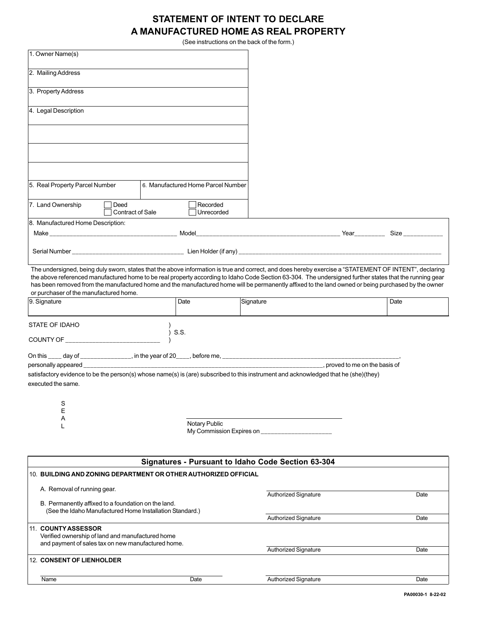## **STATEMENT OF INTENT TO DECLARE A MANUFACTURED HOME AS REAL PROPERTY**

(See instructions on the back of the form.)

| 1. Owner Name(s)                                                                                                                                                                                                                                                                                                                                                                                                                                                                                                  |  |  |                                                    |           |                             |  |      |
|-------------------------------------------------------------------------------------------------------------------------------------------------------------------------------------------------------------------------------------------------------------------------------------------------------------------------------------------------------------------------------------------------------------------------------------------------------------------------------------------------------------------|--|--|----------------------------------------------------|-----------|-----------------------------|--|------|
| 2. Mailing Address                                                                                                                                                                                                                                                                                                                                                                                                                                                                                                |  |  |                                                    |           |                             |  |      |
| 3. Property Address                                                                                                                                                                                                                                                                                                                                                                                                                                                                                               |  |  |                                                    |           |                             |  |      |
| 4. Legal Description                                                                                                                                                                                                                                                                                                                                                                                                                                                                                              |  |  |                                                    |           |                             |  |      |
|                                                                                                                                                                                                                                                                                                                                                                                                                                                                                                                   |  |  |                                                    |           |                             |  |      |
|                                                                                                                                                                                                                                                                                                                                                                                                                                                                                                                   |  |  |                                                    |           |                             |  |      |
|                                                                                                                                                                                                                                                                                                                                                                                                                                                                                                                   |  |  |                                                    |           |                             |  |      |
| 5. Real Property Parcel Number                                                                                                                                                                                                                                                                                                                                                                                                                                                                                    |  |  | 6. Manufactured Home Parcel Number                 |           |                             |  |      |
| 7. Land Ownership<br>Deed<br>Contract of Sale                                                                                                                                                                                                                                                                                                                                                                                                                                                                     |  |  | Recorded<br>Unrecorded                             |           |                             |  |      |
| 8. Manufactured Home Description:                                                                                                                                                                                                                                                                                                                                                                                                                                                                                 |  |  |                                                    |           |                             |  |      |
|                                                                                                                                                                                                                                                                                                                                                                                                                                                                                                                   |  |  |                                                    |           |                             |  |      |
|                                                                                                                                                                                                                                                                                                                                                                                                                                                                                                                   |  |  |                                                    |           |                             |  |      |
| The undersigned, being duly sworn, states that the above information is true and correct, and does hereby exercise a "STATEMENT OF INTENT", declaring<br>the above referenced manufactured home to be real property according to Idaho Code Section 63-304. The undersigned further states that the running gear<br>has been removed from the manufactured home and the manufactured home will be permanently affixed to the land owned or being purchased by the owner<br>or purchaser of the manufactured home. |  |  |                                                    |           |                             |  |      |
| 9. Signature                                                                                                                                                                                                                                                                                                                                                                                                                                                                                                      |  |  | Date                                               | Signature |                             |  | Date |
| STATE OF IDAHO                                                                                                                                                                                                                                                                                                                                                                                                                                                                                                    |  |  |                                                    |           |                             |  |      |
|                                                                                                                                                                                                                                                                                                                                                                                                                                                                                                                   |  |  | $)$ S.S.                                           |           |                             |  |      |
|                                                                                                                                                                                                                                                                                                                                                                                                                                                                                                                   |  |  |                                                    |           |                             |  |      |
| , proved to me on the basis of                                                                                                                                                                                                                                                                                                                                                                                                                                                                                    |  |  |                                                    |           |                             |  |      |
| satisfactory evidence to be the person(s) whose name(s) is (are) subscribed to this instrument and acknowledged that he (she)(they)                                                                                                                                                                                                                                                                                                                                                                               |  |  |                                                    |           |                             |  |      |
| executed the same.                                                                                                                                                                                                                                                                                                                                                                                                                                                                                                |  |  |                                                    |           |                             |  |      |
| S                                                                                                                                                                                                                                                                                                                                                                                                                                                                                                                 |  |  |                                                    |           |                             |  |      |
| E<br>Α                                                                                                                                                                                                                                                                                                                                                                                                                                                                                                            |  |  |                                                    |           |                             |  |      |
| <b>Notary Public</b><br>L<br>My Commission Expires on                                                                                                                                                                                                                                                                                                                                                                                                                                                             |  |  |                                                    |           |                             |  |      |
|                                                                                                                                                                                                                                                                                                                                                                                                                                                                                                                   |  |  |                                                    |           |                             |  |      |
|                                                                                                                                                                                                                                                                                                                                                                                                                                                                                                                   |  |  | Signatures - Pursuant to Idaho Code Section 63-304 |           |                             |  |      |
| 10. BUILDING AND ZONING DEPARTMENT OR OTHER AUTHORIZED OFFICIAL                                                                                                                                                                                                                                                                                                                                                                                                                                                   |  |  |                                                    |           |                             |  |      |
| A. Removal of running gear.                                                                                                                                                                                                                                                                                                                                                                                                                                                                                       |  |  |                                                    |           | <b>Authorized Signature</b> |  | Date |
| B. Permanently affixed to a foundation on the land.<br>(See the Idaho Manufactured Home Installation Standard.)                                                                                                                                                                                                                                                                                                                                                                                                   |  |  |                                                    |           | <b>Authorized Signature</b> |  | Date |
| 11. COUNTY ASSESSOR                                                                                                                                                                                                                                                                                                                                                                                                                                                                                               |  |  |                                                    |           |                             |  |      |
| Verified ownership of land and manufactured home<br>and payment of sales tax on new manufactured home.                                                                                                                                                                                                                                                                                                                                                                                                            |  |  |                                                    |           |                             |  |      |
| <b>12. CONSENT OF LIENHOLDER</b>                                                                                                                                                                                                                                                                                                                                                                                                                                                                                  |  |  | <b>Authorized Signature</b>                        |           | Date                        |  |      |
|                                                                                                                                                                                                                                                                                                                                                                                                                                                                                                                   |  |  |                                                    |           |                             |  |      |
| Name                                                                                                                                                                                                                                                                                                                                                                                                                                                                                                              |  |  | Date                                               |           | Authorized Signature        |  | Date |